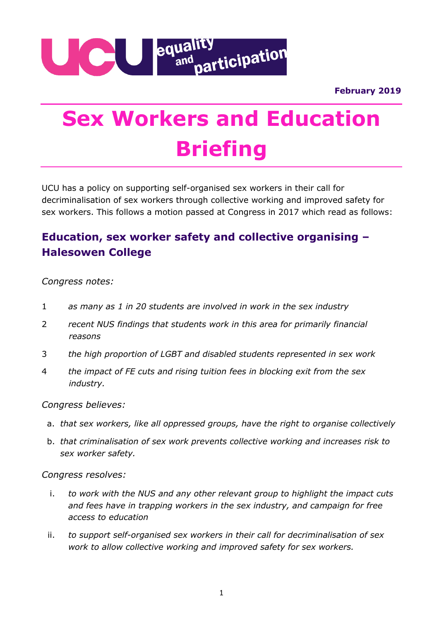**February 2019**



# **Sex Workers and Education Briefing**

UCU has a policy on supporting self-organised sex workers in their call for decriminalisation of sex workers through collective working and improved safety for sex workers. This follows a motion passed at Congress in 2017 which read as follows:

## **Education, sex worker safety and collective organising – Halesowen College**

### *Congress notes:*

- 1 *as many as 1 in 20 students are involved in work in the sex industry*
- 2 *recent NUS findings that students work in this area for primarily financial reasons*
- 3 *the high proportion of LGBT and disabled students represented in sex work*
- 4 *the impact of FE cuts and rising tuition fees in blocking exit from the sex industry.*

#### *Congress believes:*

- a. *that sex workers, like all oppressed groups, have the right to organise collectively*
- b. *that criminalisation of sex work prevents collective working and increases risk to sex worker safety.*

#### *Congress resolves:*

- i. *to work with the NUS and any other relevant group to highlight the impact cuts and fees have in trapping workers in the sex industry, and campaign for free access to education*
- ii. *to support self-organised sex workers in their call for decriminalisation of sex work to allow collective working and improved safety for sex workers.*